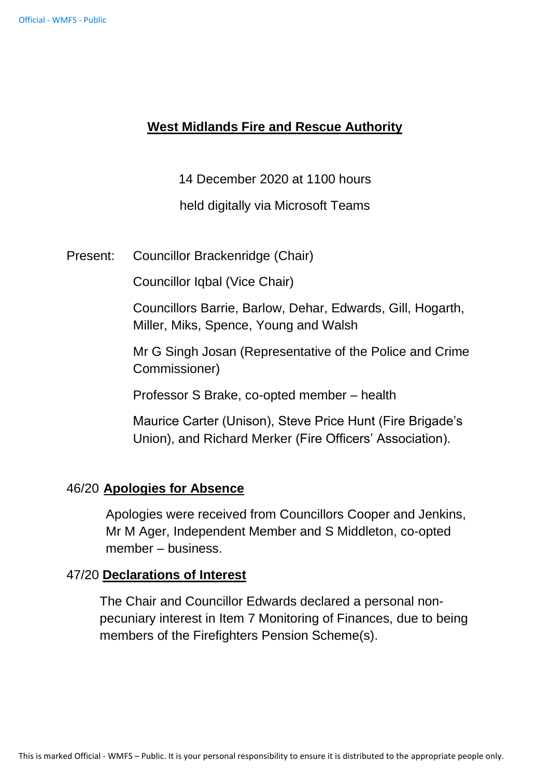## **West Midlands Fire and Rescue Authority**

14 December 2020 at 1100 hours

held digitally via Microsoft Teams

Present: Councillor Brackenridge (Chair)

Councillor Iqbal (Vice Chair)

Councillors Barrie, Barlow, Dehar, Edwards, Gill, Hogarth, Miller, Miks, Spence, Young and Walsh

Mr G Singh Josan (Representative of the Police and Crime Commissioner)

Professor S Brake, co-opted member – health

Maurice Carter (Unison), Steve Price Hunt (Fire Brigade's Union), and Richard Merker (Fire Officers' Association).

### 46/20 **Apologies for Absence**

Apologies were received from Councillors Cooper and Jenkins, Mr M Ager, Independent Member and S Middleton, co-opted member – business.

### 47/20 **Declarations of Interest**

The Chair and Councillor Edwards declared a personal nonpecuniary interest in Item 7 Monitoring of Finances, due to being members of the Firefighters Pension Scheme(s).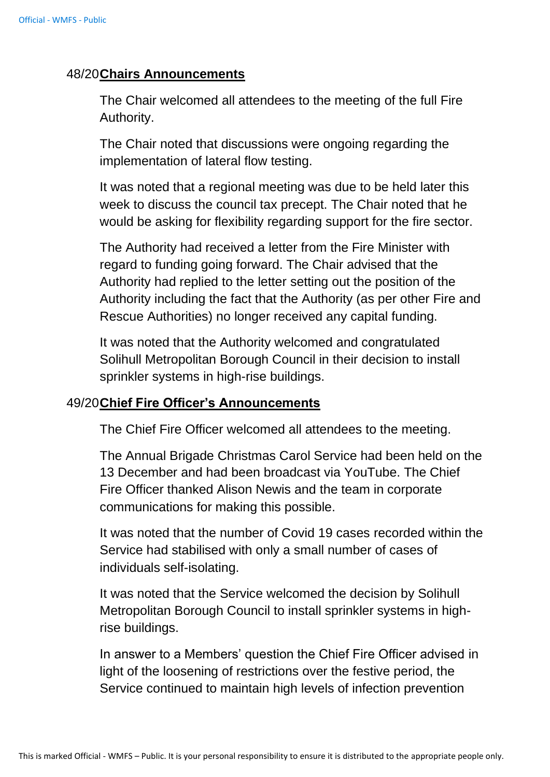## 48/20**Chairs Announcements**

The Chair welcomed all attendees to the meeting of the full Fire Authority.

The Chair noted that discussions were ongoing regarding the implementation of lateral flow testing.

It was noted that a regional meeting was due to be held later this week to discuss the council tax precept. The Chair noted that he would be asking for flexibility regarding support for the fire sector.

The Authority had received a letter from the Fire Minister with regard to funding going forward. The Chair advised that the Authority had replied to the letter setting out the position of the Authority including the fact that the Authority (as per other Fire and Rescue Authorities) no longer received any capital funding.

It was noted that the Authority welcomed and congratulated Solihull Metropolitan Borough Council in their decision to install sprinkler systems in high-rise buildings.

### 49/20**Chief Fire Officer's Announcements**

The Chief Fire Officer welcomed all attendees to the meeting.

The Annual Brigade Christmas Carol Service had been held on the 13 December and had been broadcast via YouTube. The Chief Fire Officer thanked Alison Newis and the team in corporate communications for making this possible.

It was noted that the number of Covid 19 cases recorded within the Service had stabilised with only a small number of cases of individuals self-isolating.

It was noted that the Service welcomed the decision by Solihull Metropolitan Borough Council to install sprinkler systems in highrise buildings.

In answer to a Members' question the Chief Fire Officer advised in light of the loosening of restrictions over the festive period, the Service continued to maintain high levels of infection prevention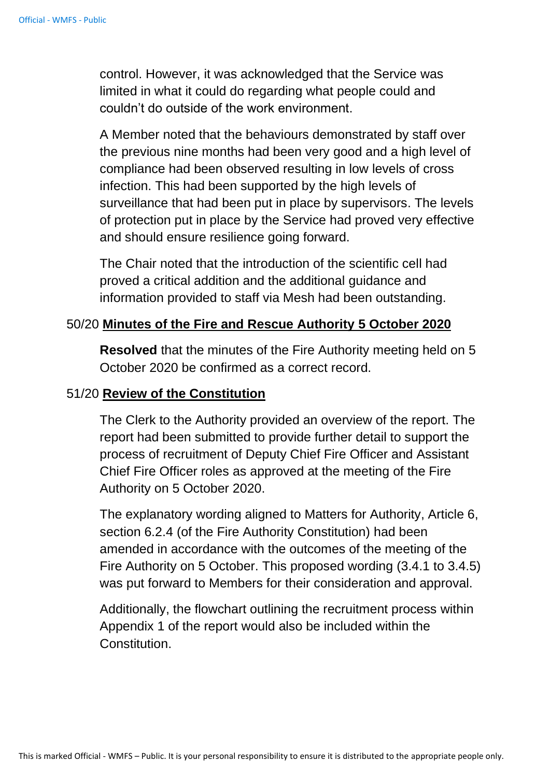control. However, it was acknowledged that the Service was limited in what it could do regarding what people could and couldn't do outside of the work environment.

A Member noted that the behaviours demonstrated by staff over the previous nine months had been very good and a high level of compliance had been observed resulting in low levels of cross infection. This had been supported by the high levels of surveillance that had been put in place by supervisors. The levels of protection put in place by the Service had proved very effective and should ensure resilience going forward.

The Chair noted that the introduction of the scientific cell had proved a critical addition and the additional guidance and information provided to staff via Mesh had been outstanding.

#### 50/20 **Minutes of the Fire and Rescue Authority 5 October 2020**

**Resolved** that the minutes of the Fire Authority meeting held on 5 October 2020 be confirmed as a correct record.

#### 51/20 **Review of the Constitution**

The Clerk to the Authority provided an overview of the report. The report had been submitted to provide further detail to support the process of recruitment of Deputy Chief Fire Officer and Assistant Chief Fire Officer roles as approved at the meeting of the Fire Authority on 5 October 2020.

The explanatory wording aligned to Matters for Authority, Article 6, section 6.2.4 (of the Fire Authority Constitution) had been amended in accordance with the outcomes of the meeting of the Fire Authority on 5 October. This proposed wording (3.4.1 to 3.4.5) was put forward to Members for their consideration and approval.

Additionally, the flowchart outlining the recruitment process within Appendix 1 of the report would also be included within the Constitution.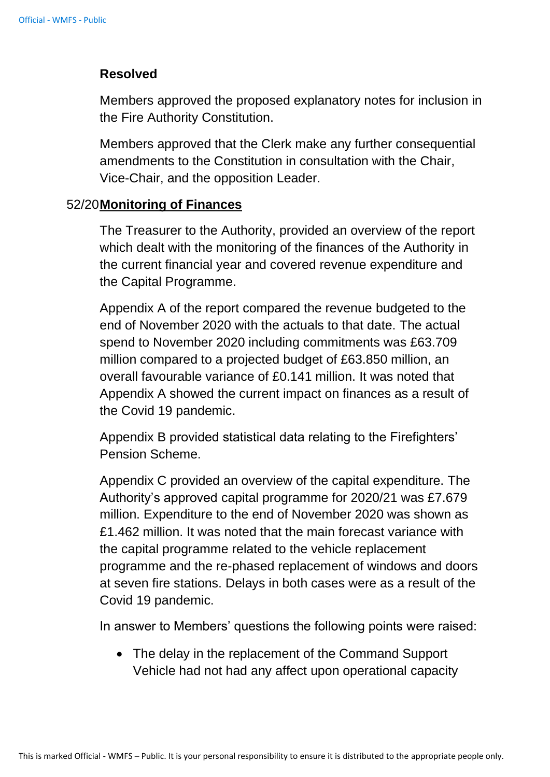### **Resolved**

Members approved the proposed explanatory notes for inclusion in the Fire Authority Constitution.

Members approved that the Clerk make any further consequential amendments to the Constitution in consultation with the Chair, Vice-Chair, and the opposition Leader.

### 52/20**Monitoring of Finances**

The Treasurer to the Authority, provided an overview of the report which dealt with the monitoring of the finances of the Authority in the current financial year and covered revenue expenditure and the Capital Programme.

Appendix A of the report compared the revenue budgeted to the end of November 2020 with the actuals to that date. The actual spend to November 2020 including commitments was £63.709 million compared to a projected budget of £63.850 million, an overall favourable variance of £0.141 million. It was noted that Appendix A showed the current impact on finances as a result of the Covid 19 pandemic.

Appendix B provided statistical data relating to the Firefighters' Pension Scheme.

Appendix C provided an overview of the capital expenditure. The Authority's approved capital programme for 2020/21 was £7.679 million. Expenditure to the end of November 2020 was shown as £1.462 million. It was noted that the main forecast variance with the capital programme related to the vehicle replacement programme and the re-phased replacement of windows and doors at seven fire stations. Delays in both cases were as a result of the Covid 19 pandemic.

In answer to Members' questions the following points were raised:

• The delay in the replacement of the Command Support Vehicle had not had any affect upon operational capacity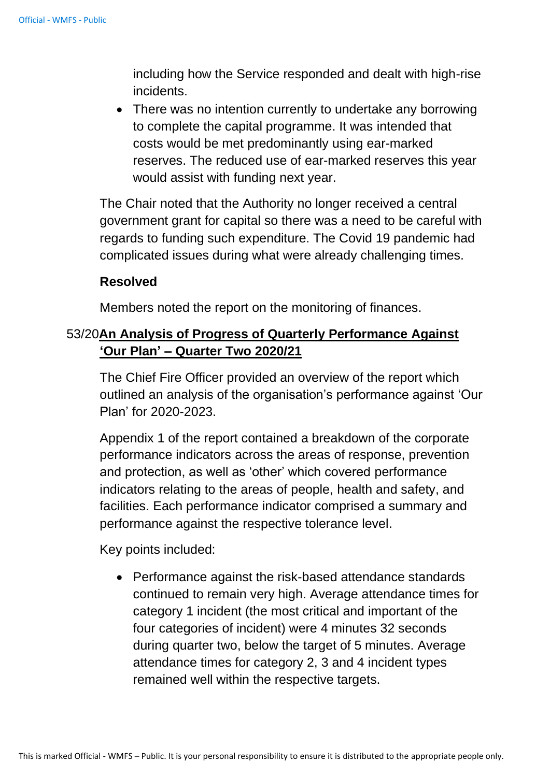including how the Service responded and dealt with high-rise incidents.

• There was no intention currently to undertake any borrowing to complete the capital programme. It was intended that costs would be met predominantly using ear-marked reserves. The reduced use of ear-marked reserves this year would assist with funding next year.

The Chair noted that the Authority no longer received a central government grant for capital so there was a need to be careful with regards to funding such expenditure. The Covid 19 pandemic had complicated issues during what were already challenging times.

### **Resolved**

Members noted the report on the monitoring of finances.

## 53/20**An Analysis of Progress of Quarterly Performance Against 'Our Plan' – Quarter Two 2020/21**

The Chief Fire Officer provided an overview of the report which outlined an analysis of the organisation's performance against 'Our Plan' for 2020-2023.

Appendix 1 of the report contained a breakdown of the corporate performance indicators across the areas of response, prevention and protection, as well as 'other' which covered performance indicators relating to the areas of people, health and safety, and facilities. Each performance indicator comprised a summary and performance against the respective tolerance level.

Key points included:

• Performance against the risk-based attendance standards continued to remain very high. Average attendance times for category 1 incident (the most critical and important of the four categories of incident) were 4 minutes 32 seconds during quarter two, below the target of 5 minutes. Average attendance times for category 2, 3 and 4 incident types remained well within the respective targets.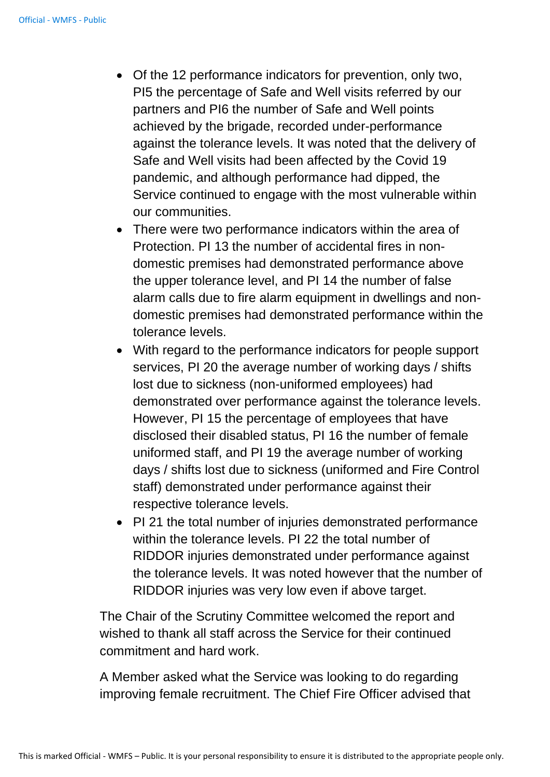- Of the 12 performance indicators for prevention, only two, PI5 the percentage of Safe and Well visits referred by our partners and PI6 the number of Safe and Well points achieved by the brigade, recorded under-performance against the tolerance levels. It was noted that the delivery of Safe and Well visits had been affected by the Covid 19 pandemic, and although performance had dipped, the Service continued to engage with the most vulnerable within our communities.
- There were two performance indicators within the area of Protection. PI 13 the number of accidental fires in nondomestic premises had demonstrated performance above the upper tolerance level, and PI 14 the number of false alarm calls due to fire alarm equipment in dwellings and nondomestic premises had demonstrated performance within the tolerance levels.
- With regard to the performance indicators for people support services, PI 20 the average number of working days / shifts lost due to sickness (non-uniformed employees) had demonstrated over performance against the tolerance levels. However, PI 15 the percentage of employees that have disclosed their disabled status, PI 16 the number of female uniformed staff, and PI 19 the average number of working days / shifts lost due to sickness (uniformed and Fire Control staff) demonstrated under performance against their respective tolerance levels.
- PI 21 the total number of injuries demonstrated performance within the tolerance levels. PI 22 the total number of RIDDOR injuries demonstrated under performance against the tolerance levels. It was noted however that the number of RIDDOR injuries was very low even if above target.

The Chair of the Scrutiny Committee welcomed the report and wished to thank all staff across the Service for their continued commitment and hard work.

A Member asked what the Service was looking to do regarding improving female recruitment. The Chief Fire Officer advised that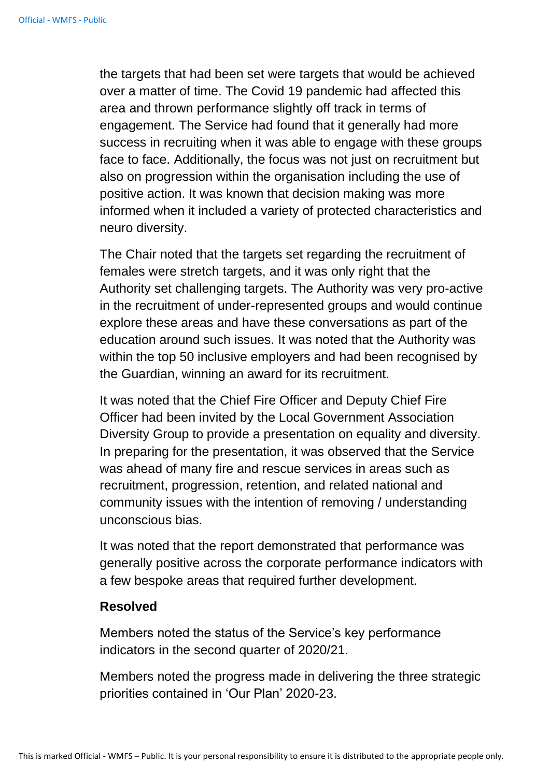the targets that had been set were targets that would be achieved over a matter of time. The Covid 19 pandemic had affected this area and thrown performance slightly off track in terms of engagement. The Service had found that it generally had more success in recruiting when it was able to engage with these groups face to face. Additionally, the focus was not just on recruitment but also on progression within the organisation including the use of positive action. It was known that decision making was more informed when it included a variety of protected characteristics and neuro diversity.

The Chair noted that the targets set regarding the recruitment of females were stretch targets, and it was only right that the Authority set challenging targets. The Authority was very pro-active in the recruitment of under-represented groups and would continue explore these areas and have these conversations as part of the education around such issues. It was noted that the Authority was within the top 50 inclusive employers and had been recognised by the Guardian, winning an award for its recruitment.

It was noted that the Chief Fire Officer and Deputy Chief Fire Officer had been invited by the Local Government Association Diversity Group to provide a presentation on equality and diversity. In preparing for the presentation, it was observed that the Service was ahead of many fire and rescue services in areas such as recruitment, progression, retention, and related national and community issues with the intention of removing / understanding unconscious bias.

It was noted that the report demonstrated that performance was generally positive across the corporate performance indicators with a few bespoke areas that required further development.

#### **Resolved**

Members noted the status of the Service's key performance indicators in the second quarter of 2020/21.

Members noted the progress made in delivering the three strategic priorities contained in 'Our Plan' 2020-23.